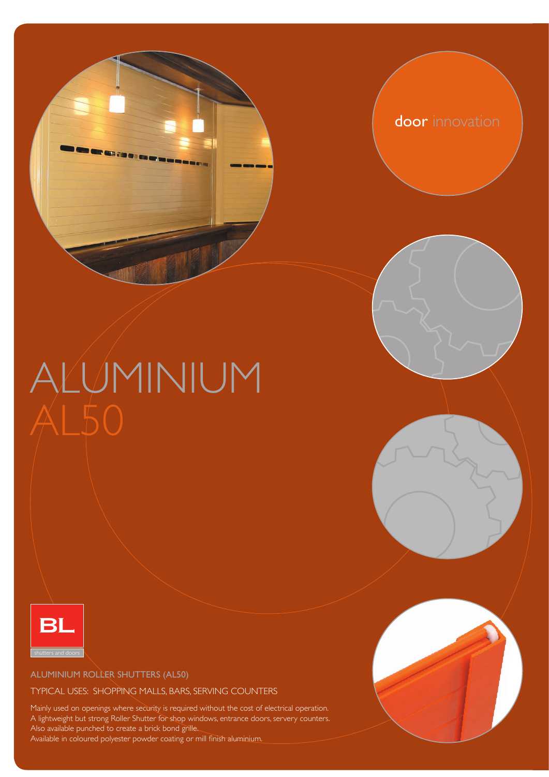

door innovation

# ALUMINIUM  $\bigwedge\mathsf{L}50$



ALUMINIUM ROLLER SHUTTERS (AL50)

#### TYPICAL USES: SHOPPING MALLS, BARS, SERVING COUNTERS

Mainly used on openings where security is required without the cost of electrical operation. A lightweight but strong Roller Shutter for shop windows, entrance doors, servery counters. Also available punched to create a brick bond grille.

Available in coloured polyester powder coating or mill finish aluminium.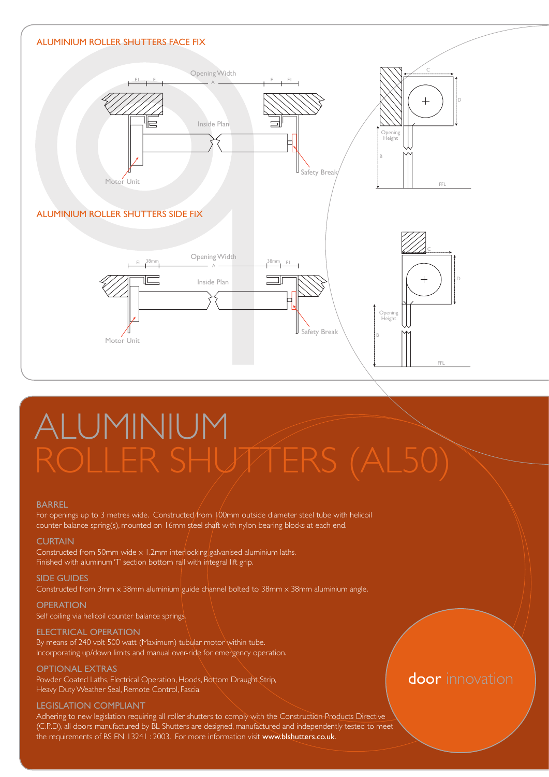

# ALUMINIUM

#### BARREL

For openings up to 3 metres wide. Constructed from 100mm outside diameter steel tube with helicoil counter balance spring(s), mounted on 16mm steel shaft with nylon bearing blocks at each end.

#### **CURTAIN**

Constructed from 50mm wide x 1.2mm interlocking galvanised aluminium laths. Finished with aluminum 'T' section bottom rail with integral lift grip.

SIDE GUIDES Constructed from 3mm x 38mm aluminium guide channel bolted to 38mm x 38mm aluminium angle.

**OPERATION** Self coiling via helicoil counter balance springs.

#### ELECTRICAL OPERATION By means of 240 volt 500 watt (Maximum) tubular motor within tube.

Incorporating up/down limits and manual over-ride for emergency operation.

#### OPTIONAL EXTRAS

BL Shutters Ltd / **REF : BBL01** Informational Insert Drawings / Drawing 3A/3B Heavy Duty Weather Seal, Remote Control, Fascia. Powder Coated Laths, Electrical Operation, Hoods, Bottom Draught Strip,

#### LEGISLATION COMPLIANT

(C.P.D), all doors manufactured by BL Shutters are designed, manufactured and independently tested to meet Adhering to new legislation requiring all roller shutters to comply with the Construction Products Directive the requirements of BS EN 13241 : 2003. For more information visit www.blshutters.co.uk.

#### door innovation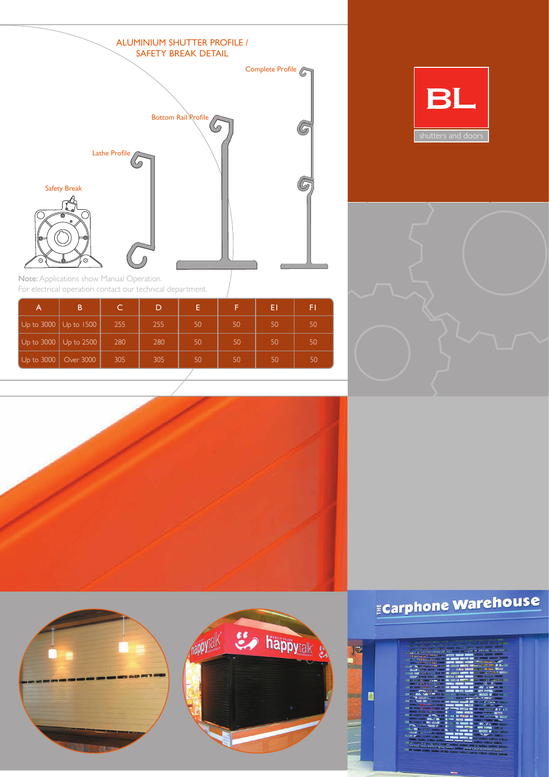

BL



Note: Applications show Manual Operation. For electrical operation contact our technical department.

|                                       | B                                             |     | D   | E. |                 | ΕI              | FI |
|---------------------------------------|-----------------------------------------------|-----|-----|----|-----------------|-----------------|----|
| $\vert$ Up to 3000 $\vert$ Up to 1500 |                                               | 255 | 255 | 50 | 50              | 50              | 50 |
|                                       | $\vert$ Up to 3000 $\vert$ Up to 2500 $\vert$ | 280 | 280 | 50 | 50              | 50              | 50 |
| $\vert$ Up to 3000 $\vert$ Over 3000  |                                               | 305 | 305 | 50 | 50 <sub>1</sub> | 50 <sub>1</sub> | 50 |







## Ecarphone Warehouse